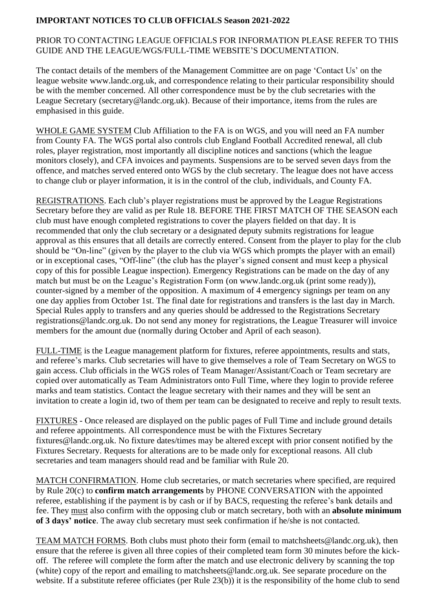## **IMPORTANT NOTICES TO CLUB OFFICIALS Season 2021-2022**

## PRIOR TO CONTACTING LEAGUE OFFICIALS FOR INFORMATION PLEASE REFER TO THIS GUIDE AND THE LEAGUE/WGS/FULL-TIME WEBSITE'S DOCUMENTATION.

The contact details of the members of the Management Committee are on page 'Contact Us' on the league website www.landc.org.uk, and correspondence relating to their particular responsibility should be with the member concerned. All other correspondence must be by the club secretaries with the League Secretary (secretary@landc.org.uk). Because of their importance, items from the rules are emphasised in this guide.

WHOLE GAME SYSTEM Club Affiliation to the FA is on WGS, and you will need an FA number from County FA. The WGS portal also controls club England Football Accredited renewal, all club roles, player registration, most importantly all discipline notices and sanctions (which the league monitors closely), and CFA invoices and payments. Suspensions are to be served seven days from the offence, and matches served entered onto WGS by the club secretary. The league does not have access to change club or player information, it is in the control of the club, individuals, and County FA.

REGISTRATIONS. Each club's player registrations must be approved by the League Registrations Secretary before they are valid as per Rule 18. BEFORE THE FIRST MATCH OF THE SEASON each club must have enough completed registrations to cover the players fielded on that day. It is recommended that only the club secretary or a designated deputy submits registrations for league approval as this ensures that all details are correctly entered. Consent from the player to play for the club should be "On-line" (given by the player to the club via WGS which prompts the player with an email) or in exceptional cases, "Off-line" (the club has the player's signed consent and must keep a physical copy of this for possible League inspection). Emergency Registrations can be made on the day of any match but must be on the League's Registration Form (on [www.landc.org.uk](http://www.landc.org.uk/) (print some ready)), counter-signed by a member of the opposition. A maximum of 4 emergency signings per team on any one day applies from October 1st. The final date for registrations and transfers is the last day in March. Special Rules apply to transfers and any queries should be addressed to the Registrations Secretary registrations@landc.org.uk. Do not send any money for registrations, the League Treasurer will invoice members for the amount due (normally during October and April of each season).

FULL-TIME is the League management platform for fixtures, referee appointments, results and stats, and referee's marks. Club secretaries will have to give themselves a role of Team Secretary on WGS to gain access. Club officials in the WGS roles of Team Manager/Assistant/Coach or Team secretary are copied over automatically as Team Administrators onto Full Time, where they login to provide referee marks and team statistics. Contact the league secretary with their names and they will be sent an invitation to create a login id, two of them per team can be designated to receive and reply to result texts.

FIXTURES - Once released are displayed on the public pages of Full Time and include ground details and referee appointments. All correspondence must be with the Fixtures Secretary fixtures@landc.org.uk. No fixture dates/times may be altered except with prior consent notified by the Fixtures Secretary. Requests for alterations are to be made only for exceptional reasons. All club secretaries and team managers should read and be familiar with Rule 20.

MATCH CONFIRMATION. Home club secretaries, or match secretaries where specified, are required by Rule 20(c) to **confirm match arrangements** by PHONE CONVERSATION with the appointed referee, establishing if the payment is by cash or if by BACS, requesting the referee's bank details and fee. They must also confirm with the opposing club or match secretary, both with an **absolute minimum of 3 days' notice**. The away club secretary must seek confirmation if he/she is not contacted.

TEAM MATCH FORMS. Both clubs must photo their form (email to [matchsheets@landc.org.uk\)](mailto:matchsheets@landc.org.uk), then ensure that the referee is given all three copies of their completed team form 30 minutes before the kickoff. The referee will complete the form after the match and use electronic delivery by scanning the top (white) copy of the report and emailing to [matchsheets@landc.org.uk.](mailto:matchsheets@landc.org.uk) See separate procedure on the website. If a substitute referee officiates (per Rule 23(b)) it is the responsibility of the home club to send